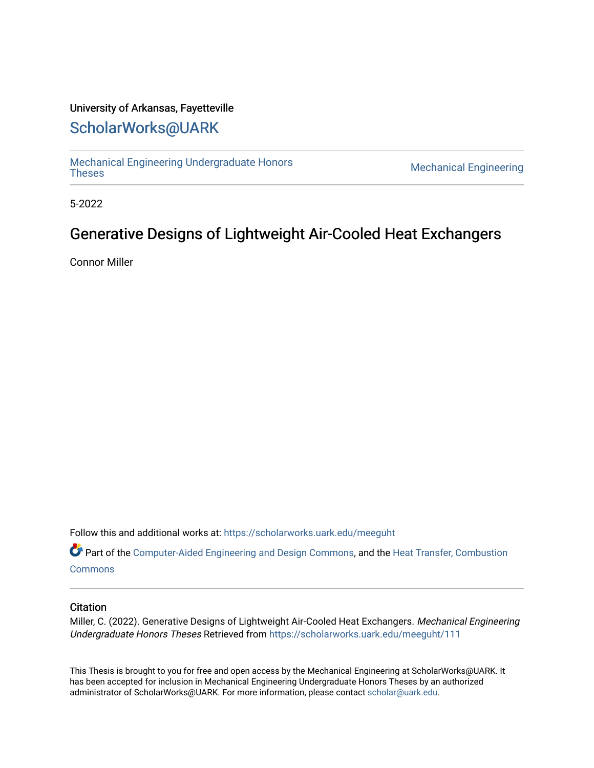## University of Arkansas, Fayetteville

# [ScholarWorks@UARK](https://scholarworks.uark.edu/)

[Mechanical Engineering Undergraduate Honors](https://scholarworks.uark.edu/meeguht)

**Mechanical Engineering** 

5-2022

# Generative Designs of Lightweight Air-Cooled Heat Exchangers

Connor Miller

Follow this and additional works at: [https://scholarworks.uark.edu/meeguht](https://scholarworks.uark.edu/meeguht?utm_source=scholarworks.uark.edu%2Fmeeguht%2F111&utm_medium=PDF&utm_campaign=PDFCoverPages) 

Part of the [Computer-Aided Engineering and Design Commons](http://network.bepress.com/hgg/discipline/297?utm_source=scholarworks.uark.edu%2Fmeeguht%2F111&utm_medium=PDF&utm_campaign=PDFCoverPages), and the [Heat Transfer, Combustion](http://network.bepress.com/hgg/discipline/300?utm_source=scholarworks.uark.edu%2Fmeeguht%2F111&utm_medium=PDF&utm_campaign=PDFCoverPages)  **[Commons](http://network.bepress.com/hgg/discipline/300?utm_source=scholarworks.uark.edu%2Fmeeguht%2F111&utm_medium=PDF&utm_campaign=PDFCoverPages)** 

## **Citation**

Miller, C. (2022). Generative Designs of Lightweight Air-Cooled Heat Exchangers. Mechanical Engineering Undergraduate Honors Theses Retrieved from [https://scholarworks.uark.edu/meeguht/111](https://scholarworks.uark.edu/meeguht/111?utm_source=scholarworks.uark.edu%2Fmeeguht%2F111&utm_medium=PDF&utm_campaign=PDFCoverPages)

This Thesis is brought to you for free and open access by the Mechanical Engineering at ScholarWorks@UARK. It has been accepted for inclusion in Mechanical Engineering Undergraduate Honors Theses by an authorized administrator of ScholarWorks@UARK. For more information, please contact [scholar@uark.edu](mailto:scholar@uark.edu).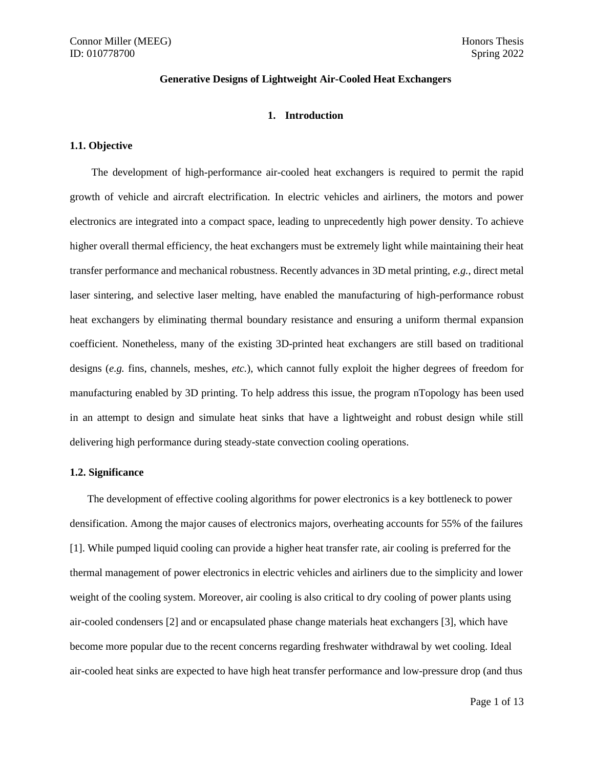## **Generative Designs of Lightweight Air-Cooled Heat Exchangers**

#### **1. Introduction**

## **1.1. Objective**

The development of high-performance air-cooled heat exchangers is required to permit the rapid growth of vehicle and aircraft electrification. In electric vehicles and airliners, the motors and power electronics are integrated into a compact space, leading to unprecedently high power density. To achieve higher overall thermal efficiency, the heat exchangers must be extremely light while maintaining their heat transfer performance and mechanical robustness. Recently advances in 3D metal printing, *e.g.*, direct metal laser sintering, and selective laser melting, have enabled the manufacturing of high-performance robust heat exchangers by eliminating thermal boundary resistance and ensuring a uniform thermal expansion coefficient. Nonetheless, many of the existing 3D-printed heat exchangers are still based on traditional designs (*e.g.* fins, channels, meshes, *etc.*), which cannot fully exploit the higher degrees of freedom for manufacturing enabled by 3D printing. To help address this issue, the program nTopology has been used in an attempt to design and simulate heat sinks that have a lightweight and robust design while still delivering high performance during steady-state convection cooling operations.

#### **1.2. Significance**

The development of effective cooling algorithms for power electronics is a key bottleneck to power densification. Among the major causes of electronics majors, overheating accounts for 55% of the failures [1]. While pumped liquid cooling can provide a higher heat transfer rate, air cooling is preferred for the thermal management of power electronics in electric vehicles and airliners due to the simplicity and lower weight of the cooling system. Moreover, air cooling is also critical to dry cooling of power plants using air-cooled condensers [2] and or encapsulated phase change materials heat exchangers [3], which have become more popular due to the recent concerns regarding freshwater withdrawal by wet cooling. Ideal air-cooled heat sinks are expected to have high heat transfer performance and low-pressure drop (and thus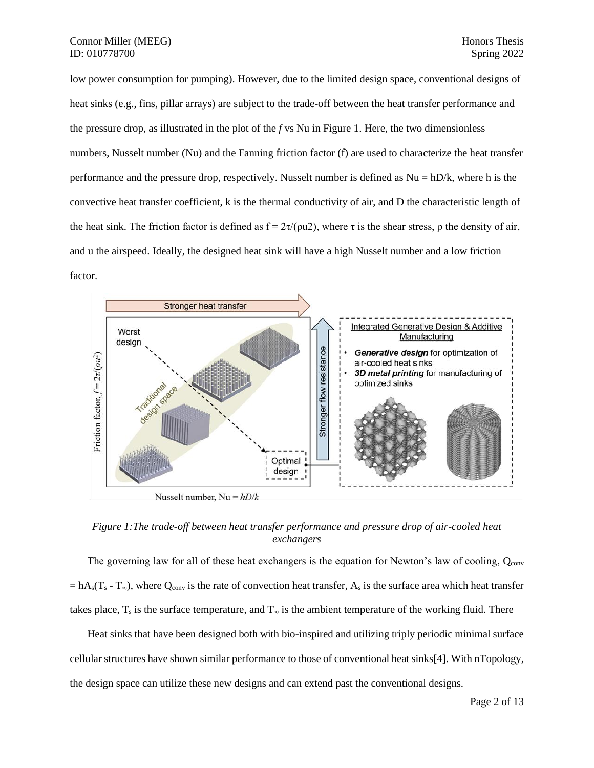low power consumption for pumping). However, due to the limited design space, conventional designs of heat sinks (e.g., fins, pillar arrays) are subject to the trade-off between the heat transfer performance and the pressure drop, as illustrated in the plot of the *f* vs Nu in Figure 1. Here, the two dimensionless numbers, Nusselt number (Nu) and the Fanning friction factor (f) are used to characterize the heat transfer performance and the pressure drop, respectively. Nusselt number is defined as Nu = hD/k, where h is the convective heat transfer coefficient, k is the thermal conductivity of air, and D the characteristic length of the heat sink. The friction factor is defined as  $f = 2\tau/(\rho u^2)$ , where  $\tau$  is the shear stress,  $\rho$  the density of air, and u the airspeed. Ideally, the designed heat sink will have a high Nusselt number and a low friction factor.



*Figure 1:The trade-off between heat transfer performance and pressure drop of air-cooled heat exchangers*

The governing law for all of these heat exchangers is the equation for Newton's law of cooling,  $Q_{\text{conv}}$  $= hA_s(T_s - T_{\infty})$ , where Q<sub>conv</sub> is the rate of convection heat transfer, A<sub>s</sub> is the surface area which heat transfer takes place,  $T_s$  is the surface temperature, and  $T_{\infty}$  is the ambient temperature of the working fluid. There

Heat sinks that have been designed both with bio-inspired and utilizing triply periodic minimal surface cellular structures have shown similar performance to those of conventional heat sinks[4]. With nTopology, the design space can utilize these new designs and can extend past the conventional designs.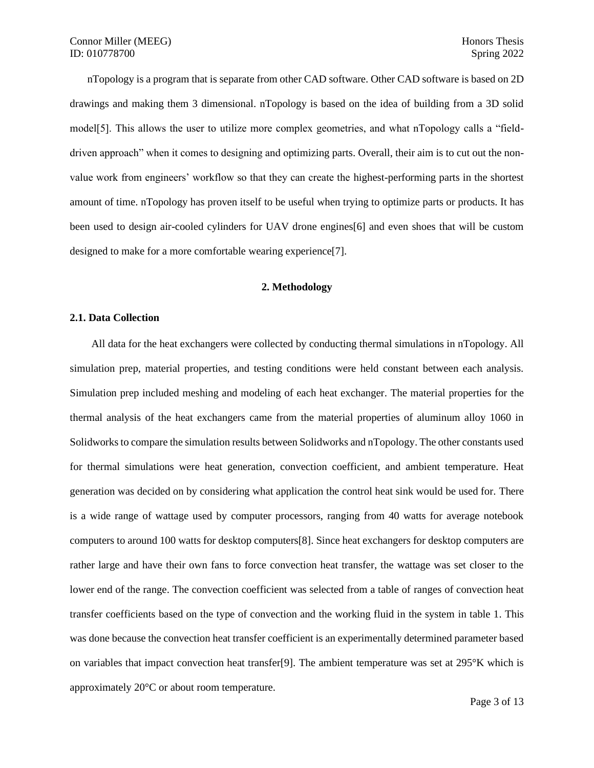nTopology is a program that is separate from other CAD software. Other CAD software is based on 2D drawings and making them 3 dimensional. nTopology is based on the idea of building from a 3D solid model[5]. This allows the user to utilize more complex geometries, and what nTopology calls a "fielddriven approach" when it comes to designing and optimizing parts. Overall, their aim is to cut out the nonvalue work from engineers' workflow so that they can create the highest-performing parts in the shortest amount of time. nTopology has proven itself to be useful when trying to optimize parts or products. It has been used to design air-cooled cylinders for UAV drone engines[6] and even shoes that will be custom designed to make for a more comfortable wearing experience[7].

## **2. Methodology**

#### **2.1. Data Collection**

All data for the heat exchangers were collected by conducting thermal simulations in nTopology. All simulation prep, material properties, and testing conditions were held constant between each analysis. Simulation prep included meshing and modeling of each heat exchanger. The material properties for the thermal analysis of the heat exchangers came from the material properties of aluminum alloy 1060 in Solidworks to compare the simulation results between Solidworks and nTopology. The other constants used for thermal simulations were heat generation, convection coefficient, and ambient temperature. Heat generation was decided on by considering what application the control heat sink would be used for. There is a wide range of wattage used by computer processors, ranging from 40 watts for average notebook computers to around 100 watts for desktop computers[8]. Since heat exchangers for desktop computers are rather large and have their own fans to force convection heat transfer, the wattage was set closer to the lower end of the range. The convection coefficient was selected from a table of ranges of convection heat transfer coefficients based on the type of convection and the working fluid in the system in table 1. This was done because the convection heat transfer coefficient is an experimentally determined parameter based on variables that impact convection heat transfer[9]. The ambient temperature was set at 295°K which is approximately 20°C or about room temperature.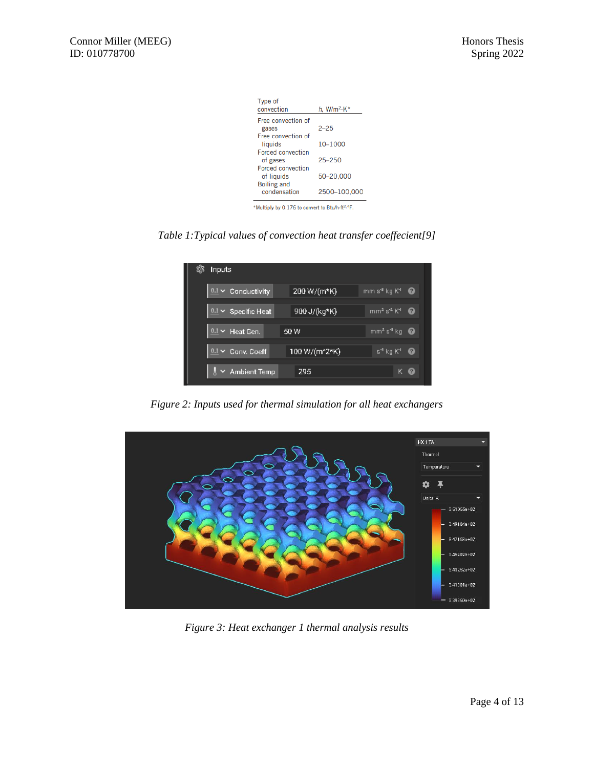| Type of                                                     |                                |
|-------------------------------------------------------------|--------------------------------|
| convection                                                  | h, W/m <sup>2</sup> $\cdot$ K* |
| Free convection of                                          |                                |
| gases                                                       | $2 - 25$                       |
| Free convection of                                          |                                |
| liquids                                                     | 10-1000                        |
| <b>Forced convection</b>                                    |                                |
| of gases                                                    | $25 - 250$                     |
| <b>Forced convection</b>                                    |                                |
| of liquids                                                  | 50-20,000                      |
| <b>Boiling and</b>                                          |                                |
| condensation                                                | 2500-100,000                   |
|                                                             |                                |
| *Multiply by 0.176 to convert to Btu/h-ft <sup>2</sup> .°F. |                                |

*Table 1:Typical values of convection heat transfer coeffecient[9]*

| \$3<br>Inputs              |               |                                        |
|----------------------------|---------------|----------------------------------------|
| $0.1 \times$ Conductivity  | 200 W/(m*K)   | mm s <sup>3</sup> kg K <sup>1</sup>    |
| $0.1 \times$ Specific Heat | 900 J/(kg*K)  | $mm2 s-2 K1$<br>$\bullet$              |
| 0.1<br>$\vee$ Heat Gen.    | 50 W          | mm <sup>2</sup> s <sup>3</sup> kq<br>ø |
| Conv. Coeff<br>0.1         | 100 W/(m^2*K) | $s^4$ kg $K^1$<br>Ø                    |
| <b>Ambient Temp</b>        | 295           | $\left( 2\right)$<br>κ                 |

*Figure 2: Inputs used for thermal simulation for all heat exchangers*



*Figure 3: Heat exchanger 1 thermal analysis results*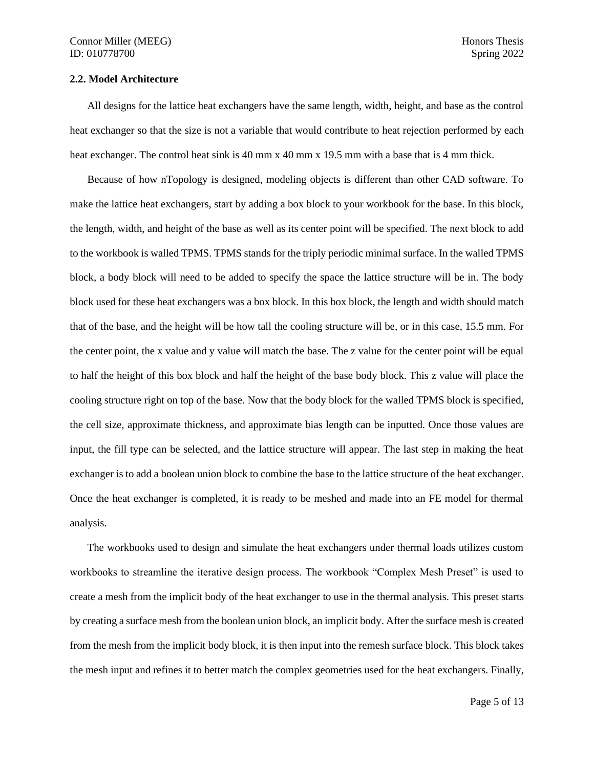#### **2.2. Model Architecture**

All designs for the lattice heat exchangers have the same length, width, height, and base as the control heat exchanger so that the size is not a variable that would contribute to heat rejection performed by each heat exchanger. The control heat sink is 40 mm x 40 mm x 19.5 mm with a base that is 4 mm thick.

Because of how nTopology is designed, modeling objects is different than other CAD software. To make the lattice heat exchangers, start by adding a box block to your workbook for the base. In this block, the length, width, and height of the base as well as its center point will be specified. The next block to add to the workbook is walled TPMS. TPMS stands for the triply periodic minimal surface. In the walled TPMS block, a body block will need to be added to specify the space the lattice structure will be in. The body block used for these heat exchangers was a box block. In this box block, the length and width should match that of the base, and the height will be how tall the cooling structure will be, or in this case, 15.5 mm. For the center point, the x value and y value will match the base. The z value for the center point will be equal to half the height of this box block and half the height of the base body block. This z value will place the cooling structure right on top of the base. Now that the body block for the walled TPMS block is specified, the cell size, approximate thickness, and approximate bias length can be inputted. Once those values are input, the fill type can be selected, and the lattice structure will appear. The last step in making the heat exchanger is to add a boolean union block to combine the base to the lattice structure of the heat exchanger. Once the heat exchanger is completed, it is ready to be meshed and made into an FE model for thermal analysis.

The workbooks used to design and simulate the heat exchangers under thermal loads utilizes custom workbooks to streamline the iterative design process. The workbook "Complex Mesh Preset" is used to create a mesh from the implicit body of the heat exchanger to use in the thermal analysis. This preset starts by creating a surface mesh from the boolean union block, an implicit body. After the surface mesh is created from the mesh from the implicit body block, it is then input into the remesh surface block. This block takes the mesh input and refines it to better match the complex geometries used for the heat exchangers. Finally,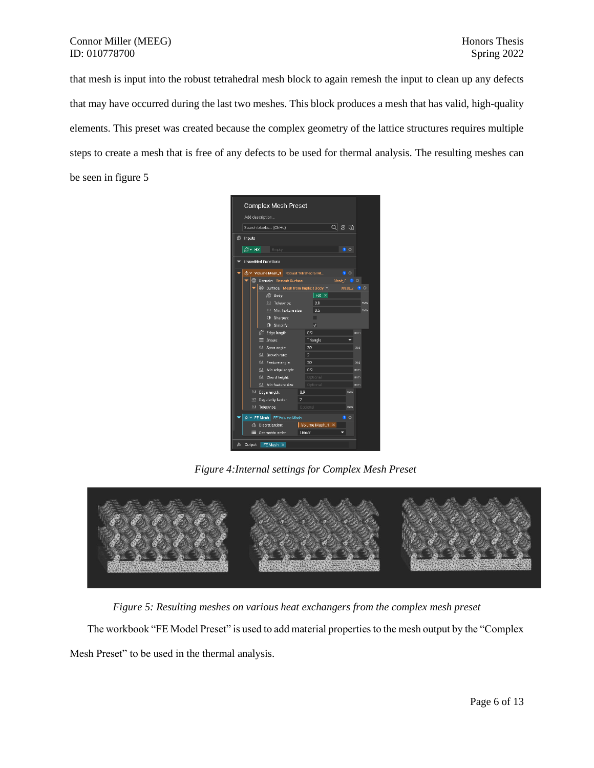## Connor Miller (MEEG) Honors Thesis ID: 010778700 Spring 2022

that mesh is input into the robust tetrahedral mesh block to again remesh the input to clean up any defects that may have occurred during the last two meshes. This block produces a mesh that has valid, high-quality elements. This preset was created because the complex geometry of the lattice structures requires multiple steps to create a mesh that is free of any defects to be used for thermal analysis. The resulting meshes can be seen in figure 5

|           |     | Search blocks (Ctrl+L)                                        |                |     |                         | $Q \,   \, \emptyset$ 屌 |                  |                   |           |         |
|-----------|-----|---------------------------------------------------------------|----------------|-----|-------------------------|-------------------------|------------------|-------------------|-----------|---------|
| SS Inputs |     |                                                               |                |     |                         |                         |                  |                   |           |         |
|           |     |                                                               |                |     |                         |                         |                  |                   |           |         |
| l⊛́∽нх∣   |     | Empty                                                         |                |     |                         |                         |                  | $\bullet$ $\circ$ |           |         |
|           |     | <b>Imbedded Functions</b>                                     |                |     |                         |                         |                  |                   |           |         |
|           |     | 4 Volume Mesh_1 Robust Tetrahedral M                          |                |     |                         |                         |                  | $\bullet$ $\circ$ |           |         |
|           | ⊕   | Domain: Remesh Surface                                        |                |     |                         |                         | $Mesh_1$ $2$ $0$ |                   |           |         |
|           |     | $\bigoplus$ Surface: Mesh from Implicit Body $\triangleright$ |                |     |                         |                         |                  | $Mesh2$ $2$       |           | $\circ$ |
|           |     | 后 Body:                                                       |                |     | $ $ HX $\times$         |                         |                  |                   |           |         |
|           |     | 0.1 Tolerance:                                                |                |     | 0.1                     |                         |                  |                   |           | mm      |
|           |     | 0.1 Min. feature size:                                        |                |     | 0.5                     |                         |                  |                   |           | mm      |
|           |     | <b>1</b> Sharpen:                                             |                |     | П                       |                         |                  |                   |           |         |
|           |     | <b>I</b> Simplify:                                            |                |     | $\overline{\mathsf{v}}$ |                         |                  |                   |           |         |
|           |     | <b>C</b> Edge length:                                         |                | 0.9 |                         |                         |                  |                   | mm        |         |
|           |     | E Shape:                                                      |                |     | Triangle                |                         |                  |                   |           |         |
|           |     | 0.1 Span angle:                                               |                | 30  |                         |                         |                  |                   | deg       |         |
|           |     | 0.1 Growth rate:                                              | $\overline{z}$ |     |                         |                         |                  |                   |           |         |
|           |     | 0.1 Feature angle:<br>0.1 Min edge length:                    | - 30<br>0.9    |     |                         |                         |                  |                   | deg<br>mm |         |
|           |     | 0.1 Chord height:                                             |                |     | Optional                |                         |                  |                   | mm        |         |
|           |     | 0.1 Min feature size:                                         |                |     | <b>Optional</b>         |                         |                  |                   | mm        |         |
|           | 0.1 | Edge length:                                                  | 0.9            |     |                         |                         |                  | mm                |           |         |
|           |     | 123 Regularity factor:                                        | $\overline{7}$ |     |                         |                         |                  |                   |           |         |
|           |     | 0.1 Tolerance:                                                | Optional       |     |                         |                         |                  | mm                |           |         |
|           |     | △ Y FE Mesh FE Volume Mesh                                    |                |     |                         |                         |                  | $\circ$           |           |         |
|           | Δ   | Discretization: Volume Mesh_1 X                               |                |     |                         |                         |                  |                   |           |         |
|           |     | Geometric order:                                              | Linear         |     |                         |                         |                  |                   |           |         |

*Figure 4:Internal settings for Complex Mesh Preset*



*Figure 5: Resulting meshes on various heat exchangers from the complex mesh preset*

The workbook "FE Model Preset" is used to add material properties to the mesh output by the "Complex

Mesh Preset" to be used in the thermal analysis.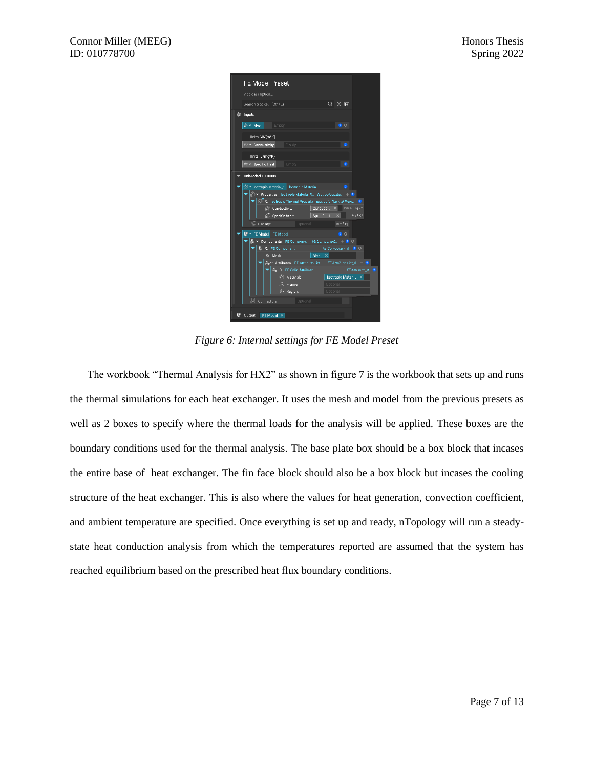| FE Model Preset                                                                                                                                                                                                                                                                                                                                                                                                                                                                                                                                                                                                                                                                                                                                                                                                                                                                                                           |
|---------------------------------------------------------------------------------------------------------------------------------------------------------------------------------------------------------------------------------------------------------------------------------------------------------------------------------------------------------------------------------------------------------------------------------------------------------------------------------------------------------------------------------------------------------------------------------------------------------------------------------------------------------------------------------------------------------------------------------------------------------------------------------------------------------------------------------------------------------------------------------------------------------------------------|
| Add description                                                                                                                                                                                                                                                                                                                                                                                                                                                                                                                                                                                                                                                                                                                                                                                                                                                                                                           |
| Q ④ 量<br>Search blocks (Ctrl+L)                                                                                                                                                                                                                                                                                                                                                                                                                                                                                                                                                                                                                                                                                                                                                                                                                                                                                           |
| <b>SS Inputs</b>                                                                                                                                                                                                                                                                                                                                                                                                                                                                                                                                                                                                                                                                                                                                                                                                                                                                                                          |
| A v Mesh Empty<br>$\bullet$ $\circ$                                                                                                                                                                                                                                                                                                                                                                                                                                                                                                                                                                                                                                                                                                                                                                                                                                                                                       |
| Units: W/(m*K)                                                                                                                                                                                                                                                                                                                                                                                                                                                                                                                                                                                                                                                                                                                                                                                                                                                                                                            |
| $\omega \sim$ Conductivity Empty<br>$\bullet$                                                                                                                                                                                                                                                                                                                                                                                                                                                                                                                                                                                                                                                                                                                                                                                                                                                                             |
| Units: J/(kg*K)                                                                                                                                                                                                                                                                                                                                                                                                                                                                                                                                                                                                                                                                                                                                                                                                                                                                                                           |
| $\omega \times \text{ Specific Heat}$<br>ø<br>Empty                                                                                                                                                                                                                                                                                                                                                                                                                                                                                                                                                                                                                                                                                                                                                                                                                                                                       |
| Imbedded Funtions                                                                                                                                                                                                                                                                                                                                                                                                                                                                                                                                                                                                                                                                                                                                                                                                                                                                                                         |
| ⊙ v Isotropic Material_1 Isotropic Material<br>n<br>e. Properties: Isotropic Material P., Jsotropic Mate 1 2<br>$\blacktriangleright$ $\boxed{\odot}$ 0: Isotropic Thermal Property Isotropic Thermal Prop. $\boxed{0}$<br>(C Conductivity: Conducti X mm s <sup>3</sup> kg K <sup>1</sup><br>$\sqrt{6}$ Specific heat Specific H $\times$ mm <sup>2</sup> s <sup>2</sup> K <sup>1</sup><br><b>C</b> Density:<br>Optional<br>mm <sup>d</sup> kg<br>$\mathbf{U}$ $\sim$ FE Model FE Model<br>$\bullet$ $\circ$<br>$\blacktriangle$ $\blacktriangleright$ Components: FE Compone FE Component + 0 O<br>FE Component_0 <sup>2</sup> O<br>0: FE Component<br>A Mesh:<br>$Mesh \times$<br>$\approx$ Attributes: FE Attribute List FE Attribute List 0 + 2<br>$\mathbb{A}_0$ 0: FE Solid Attribute<br>FE Attribute 0<br>O.<br>⊕ Material:<br>Isotropic Materi X<br>$\mathcal{I}$ . Frame:<br>Optional<br>pe Region:<br>Optional |
| Connectors:<br><b>Cotional</b>                                                                                                                                                                                                                                                                                                                                                                                                                                                                                                                                                                                                                                                                                                                                                                                                                                                                                            |
|                                                                                                                                                                                                                                                                                                                                                                                                                                                                                                                                                                                                                                                                                                                                                                                                                                                                                                                           |
| Output: FE Model X                                                                                                                                                                                                                                                                                                                                                                                                                                                                                                                                                                                                                                                                                                                                                                                                                                                                                                        |

*Figure 6: Internal settings for FE Model Preset*

The workbook "Thermal Analysis for HX2" as shown in figure 7 is the workbook that sets up and runs the thermal simulations for each heat exchanger. It uses the mesh and model from the previous presets as well as 2 boxes to specify where the thermal loads for the analysis will be applied. These boxes are the boundary conditions used for the thermal analysis. The base plate box should be a box block that incases the entire base of heat exchanger. The fin face block should also be a box block but incases the cooling structure of the heat exchanger. This is also where the values for heat generation, convection coefficient, and ambient temperature are specified. Once everything is set up and ready, nTopology will run a steadystate heat conduction analysis from which the temperatures reported are assumed that the system has reached equilibrium based on the prescribed heat flux boundary conditions.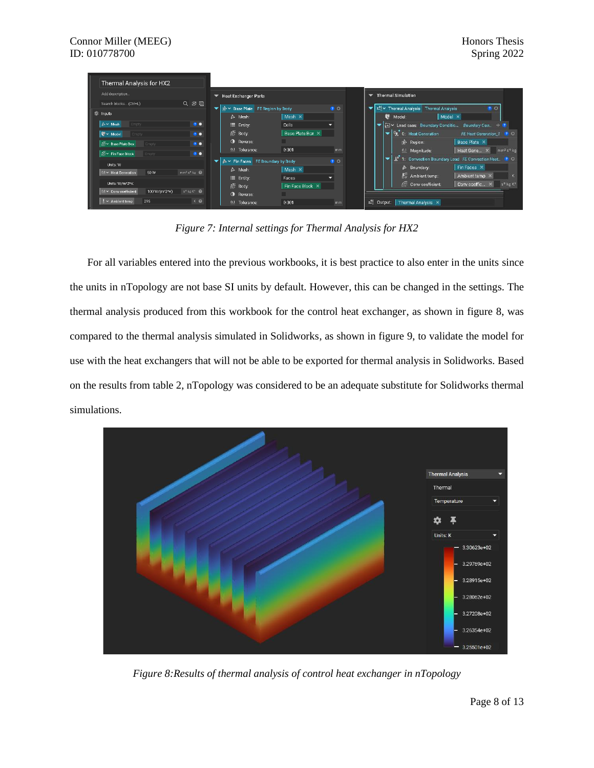| Thermal Analysis for HX2                                                              |                                                           |                   |                                                                               |  |  |  |  |  |
|---------------------------------------------------------------------------------------|-----------------------------------------------------------|-------------------|-------------------------------------------------------------------------------|--|--|--|--|--|
| Add description.                                                                      | Heat Exchanger Parts<br>▼                                 |                   | Thermal Simulation                                                            |  |  |  |  |  |
| Q 宓 曱<br>Search blocks (Ctrl+L)                                                       | <b>D</b> <sup>+</sup> V Base Plate FE Region by Body<br>▾ | $\bullet$ $\circ$ | ▼ z2 v Thermal Analysis Thermal Analysis<br><b>20</b>                         |  |  |  |  |  |
| SS Inputs                                                                             | Mesh $\times$<br>$\triangle$ Mesh:                        |                   | Model X<br><sup>(6</sup> Model:                                               |  |  |  |  |  |
| A v Mesh<br>$\bullet$<br>Empty                                                        | Cells<br>$\equiv$ Entity:                                 |                   | Die Boundary Condition<br>Boundary Con. + 0                                   |  |  |  |  |  |
| $\mathbf{U}$ $\sim$ Model<br>• •<br>Empty                                             | Base Plate Box X<br><b>A</b> Body:                        |                   | $\blacktriangleright$   $q_t$ 0: Heat Generation<br>FE Heat Generation_1 ? O  |  |  |  |  |  |
| <b>D</b> v Base Plate Box<br>$\bullet$<br>Empty                                       | <b>O</b> Reverse:                                         |                   | Base Plate X<br>p Region:                                                     |  |  |  |  |  |
| <b>@v</b> Fin Face Block<br>$\bullet$<br>Empty                                        | 0.1 Tolerance:<br>0.001                                   | mm                | Heat Gene X mm <sup>2</sup> s <sup>4</sup> kg<br>0.1 Magnitude:               |  |  |  |  |  |
|                                                                                       | A v Fin Faces FE Boundary by Body                         | 200               | 1 <sup>6</sup> 1: Convection Boundary Load FE Convection Heat. 12 O<br>۰      |  |  |  |  |  |
| Units: W                                                                              | Mesh $\times$<br>$\triangleright$ Mesh:                   |                   | Fin Faces X<br>Boundary:                                                      |  |  |  |  |  |
| mm <sup>2</sup> s <sup>4</sup> kq<br>$\underline{0.1}$ $\vee$ Heat Generation<br>50 W | E Entity:<br>Faces                                        |                   | Ambient temp:<br>Ambient temp ×<br>K.                                         |  |  |  |  |  |
| Units: W/m^2*K                                                                        | Fin Face Block X<br>原 Body:                               |                   | Convicceffic X s <sup>4</sup> kg K <sup>1</sup><br><b>C</b> Conv coefficient: |  |  |  |  |  |
| $0.1 \times$ Conv coefficient<br>100 W/(m^2*K)<br>$s^d$ kg K <sup>1</sup> $\bigcirc$  | <b>O</b> Reverse:                                         |                   |                                                                               |  |  |  |  |  |
| $K$ $\odot$<br>$\frac{1}{6}$ $\times$ Ambient temp<br>295                             | 0.1 Tolerance:<br>0.001                                   | mm                | <sup>2</sup> Output:<br>Thermal Analysis X                                    |  |  |  |  |  |

*Figure 7: Internal settings for Thermal Analysis for HX2*

For all variables entered into the previous workbooks, it is best practice to also enter in the units since the units in nTopology are not base SI units by default. However, this can be changed in the settings. The thermal analysis produced from this workbook for the control heat exchanger, as shown in figure 8, was compared to the thermal analysis simulated in Solidworks, as shown in figure 9, to validate the model for use with the heat exchangers that will not be able to be exported for thermal analysis in Solidworks. Based on the results from table 2, nTopology was considered to be an adequate substitute for Solidworks thermal simulations.



*Figure 8:Results of thermal analysis of control heat exchanger in nTopology*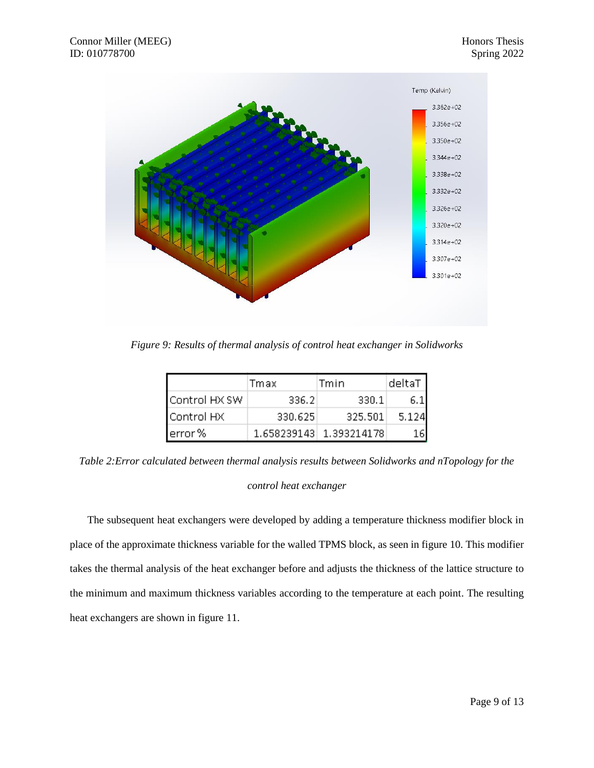

*Figure 9: Results of thermal analysis of control heat exchanger in Solidworks*

|               | Tmax    | Tmin                    | deltaT |
|---------------|---------|-------------------------|--------|
| Control HX SW | 336,2   | 330.1                   |        |
| Control HX    | 330,625 | 325,501                 | 5.124  |
| lerror %      |         | 1.658239143 1.393214178 |        |

*Table 2:Error calculated between thermal analysis results between Solidworks and nTopology for the* 

## *control heat exchanger*

The subsequent heat exchangers were developed by adding a temperature thickness modifier block in place of the approximate thickness variable for the walled TPMS block, as seen in figure 10. This modifier takes the thermal analysis of the heat exchanger before and adjusts the thickness of the lattice structure to the minimum and maximum thickness variables according to the temperature at each point. The resulting heat exchangers are shown in figure 11.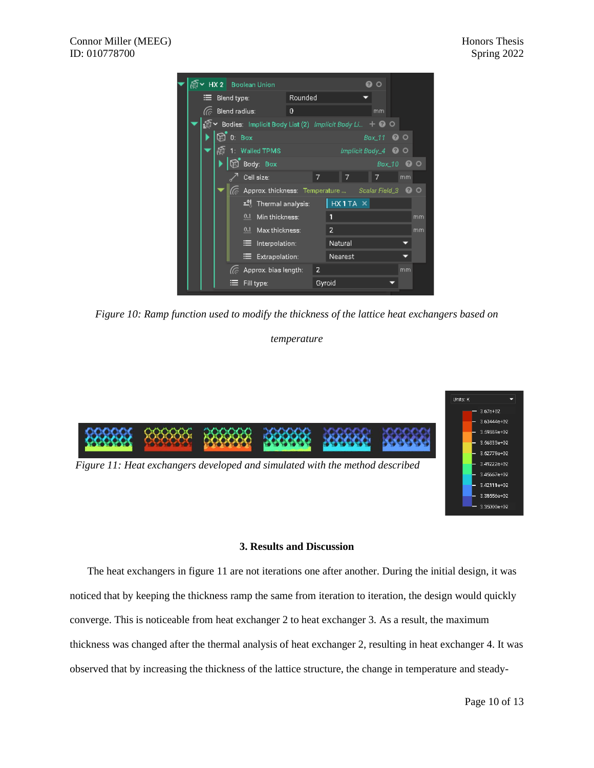

*Figure 10: Ramp function used to modify the thickness of the lattice heat exchangers based on* 

## *temperature*



## **3. Results and Discussion**

The heat exchangers in figure 11 are not iterations one after another. During the initial design, it was noticed that by keeping the thickness ramp the same from iteration to iteration, the design would quickly converge. This is noticeable from heat exchanger 2 to heat exchanger 3. As a result, the maximum thickness was changed after the thermal analysis of heat exchanger 2, resulting in heat exchanger 4. It was observed that by increasing the thickness of the lattice structure, the change in temperature and steady-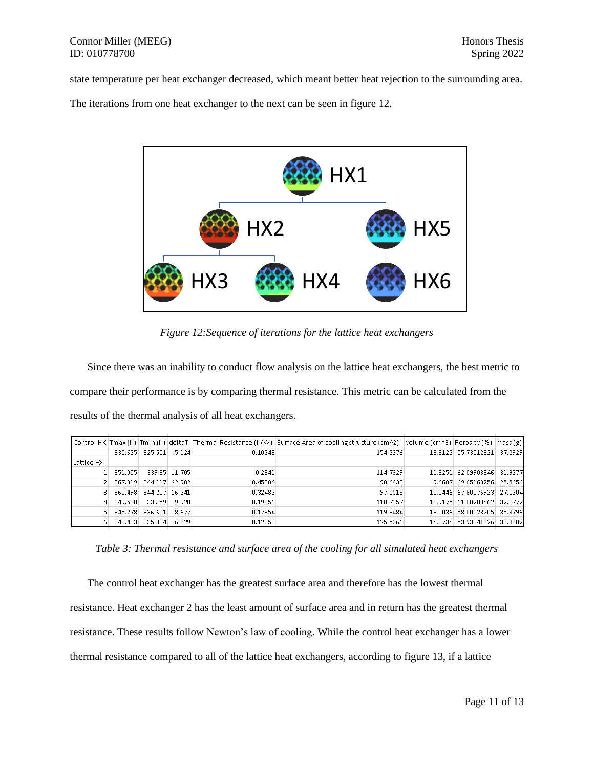## Connor Miller (MEEG) Honors Thesis ID: 010778700 Spring 2022

state temperature per heat exchanger decreased, which meant better heat rejection to the surrounding area.

The iterations from one heat exchanger to the next can be seen in figure 12.



*Figure 12:Sequence of iterations for the lattice heat exchangers*

Since there was an inability to conduct flow analysis on the lattice heat exchangers, the best metric to compare their performance is by comparing thermal resistance. This metric can be calculated from the results of the thermal analysis of all heat exchangers.

|            |         |                 |               |         | [Control HX Tmax (K) Tmin (K) deltaT Thermal Resistance (K/W) Surface Area of cooling structure (cm^2) volume (cm^3) Porosity (%) mass (g) |        |                             |         |
|------------|---------|-----------------|---------------|---------|--------------------------------------------------------------------------------------------------------------------------------------------|--------|-----------------------------|---------|
|            |         | 330.625 325.501 | 5.124         | 0.10248 | 154.2276                                                                                                                                   |        | 13.8122 55.73012821 37.2929 |         |
| Lattice HX |         |                 |               |         |                                                                                                                                            |        |                             |         |
|            | 351.055 |                 | 339.35 11.705 | 0.2341  | 114,7329                                                                                                                                   |        | 11.8251 62.09903846 31.9277 |         |
|            | 367.019 | 344.117 22.902  |               | 0.45804 | 90.4433                                                                                                                                    | 9.4687 | 69.65160256 25.5656         |         |
|            | 360.498 | 344.257 16.241  |               | 0.32482 | 97.1518                                                                                                                                    |        | 10.0446 67.80576923         | 27.1204 |
|            | 349.518 | 339.59          | 9.928         | 0.19856 | 110.7157                                                                                                                                   |        | 11.9175 61.80288462         | 32.1772 |
|            | 345,278 | 336.601         | 8.677         | 0.17354 | 119.8484                                                                                                                                   |        | 13.1036 58.00128205         | 35.3796 |
|            |         | 341,413 335,384 | 6.029         | 0.12058 | 125,5366                                                                                                                                   |        | 14.3734 53.93141026 38.8082 |         |

*Table 3: Thermal resistance and surface area of the cooling for all simulated heat exchangers*

The control heat exchanger has the greatest surface area and therefore has the lowest thermal resistance. Heat exchanger 2 has the least amount of surface area and in return has the greatest thermal resistance. These results follow Newton's law of cooling. While the control heat exchanger has a lower thermal resistance compared to all of the lattice heat exchangers, according to figure 13, if a lattice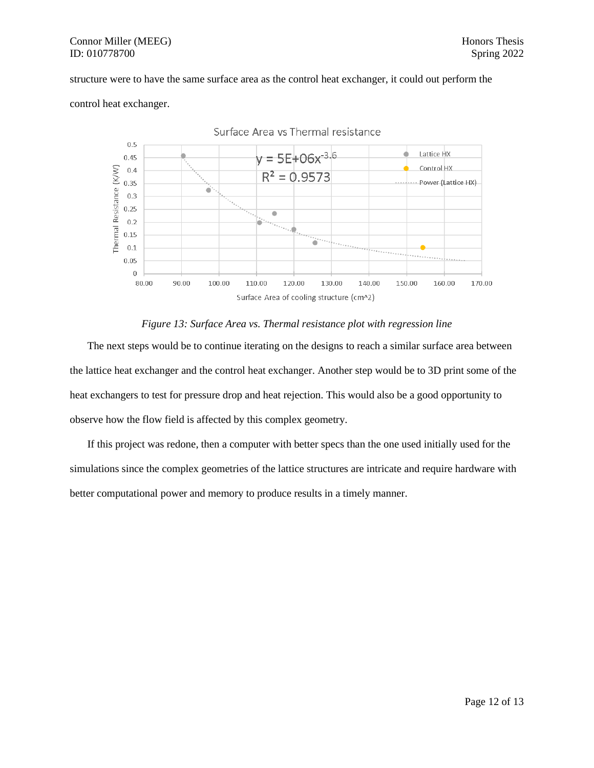## Connor Miller (MEEG) Honors Thesis ID: 010778700 Spring 2022

## structure were to have the same surface area as the control heat exchanger, it could out perform the



control heat exchanger.

## *Figure 13: Surface Area vs. Thermal resistance plot with regression line*

The next steps would be to continue iterating on the designs to reach a similar surface area between the lattice heat exchanger and the control heat exchanger. Another step would be to 3D print some of the heat exchangers to test for pressure drop and heat rejection. This would also be a good opportunity to observe how the flow field is affected by this complex geometry.

If this project was redone, then a computer with better specs than the one used initially used for the simulations since the complex geometries of the lattice structures are intricate and require hardware with better computational power and memory to produce results in a timely manner.